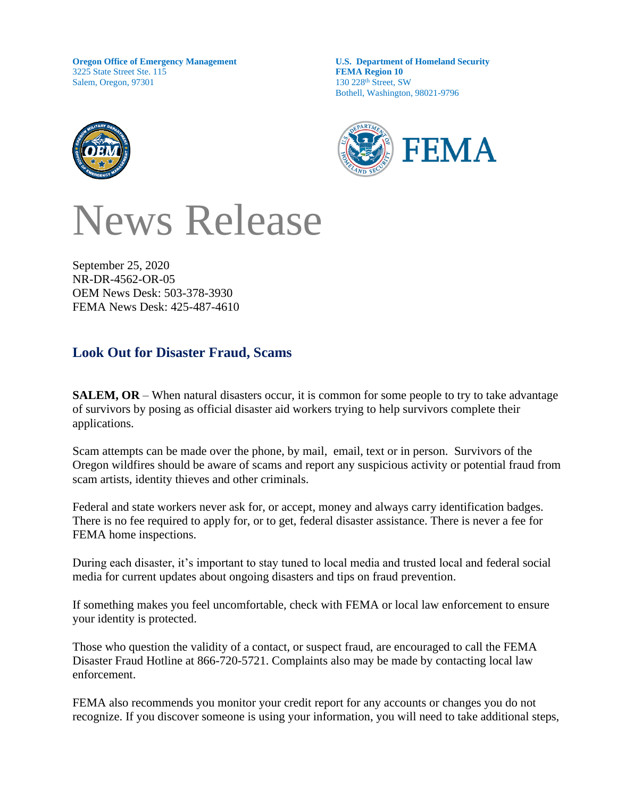**Oregon Office of Emergency Management** 3225 State Street Ste. 115 Salem, Oregon, 97301

**U.S. Department of Homeland Security FEMA Region 10** 130 228th Street, SW Bothell, Washington, 98021-9796



News Release

September 25, 2020 NR-DR-4562-OR-05 OEM News Desk: 503-378-3930 FEMA News Desk: 425-487-4610

## **Look Out for Disaster Fraud, Scams**

**SALEM, OR** – When natural disasters occur, it is common for some people to try to take advantage of survivors by posing as official disaster aid workers trying to help survivors complete their applications.

Scam attempts can be made over the phone, by mail, email, text or in person. Survivors of the Oregon wildfires should be aware of scams and report any suspicious activity or potential fraud from scam artists, identity thieves and other criminals.

Federal and state workers never ask for, or accept, money and always carry identification badges. There is no fee required to apply for, or to get, federal disaster assistance. There is never a fee for FEMA home inspections.

During each disaster, it's important to stay tuned to local media and trusted local and federal social media for current updates about ongoing disasters and tips on fraud prevention.

If something makes you feel uncomfortable, check with FEMA or local law enforcement to ensure your identity is protected.

Those who question the validity of a contact, or suspect fraud, are encouraged to call the FEMA Disaster Fraud Hotline at 866-720-5721. Complaints also may be made by contacting local law enforcement.

FEMA also recommends you monitor your credit report for any accounts or changes you do not recognize. If you discover someone is using your information, you will need to take additional steps,